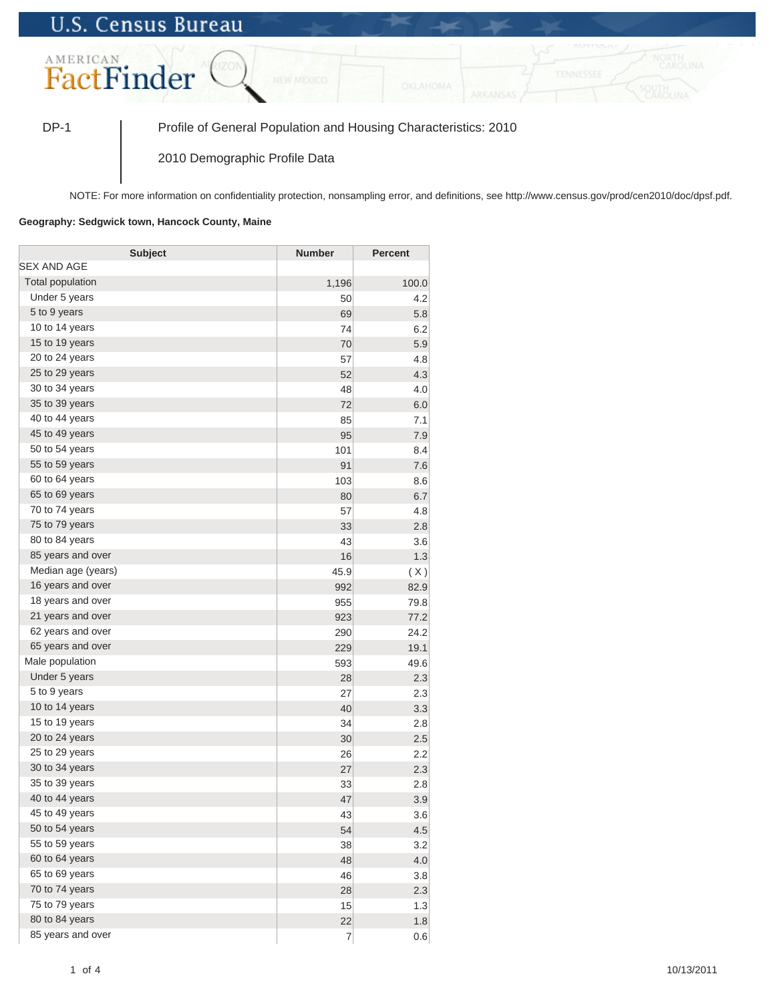## **U.S. Census Bureau**



DP-1 Profile of General Population and Housing Characteristics: 2010

2010 Demographic Profile Data

NOTE: For more information on confidentiality protection, nonsampling error, and definitions, see http://www.census.gov/prod/cen2010/doc/dpsf.pdf.

## **Geography: Sedgwick town, Hancock County, Maine**

| <b>Subject</b>     | <b>Number</b>  | <b>Percent</b> |
|--------------------|----------------|----------------|
| SEX AND AGE        |                |                |
| Total population   | 1,196          | 100.0          |
| Under 5 years      | 50             | 4.2            |
| 5 to 9 years       | 69             | 5.8            |
| 10 to 14 years     | 74             | 6.2            |
| 15 to 19 years     | 70             | 5.9            |
| 20 to 24 years     | 57             | 4.8            |
| 25 to 29 years     | 52             | 4.3            |
| 30 to 34 years     | 48             | 4.0            |
| 35 to 39 years     | 72             | 6.0            |
| 40 to 44 years     | 85             | 7.1            |
| 45 to 49 years     | 95             | 7.9            |
| 50 to 54 years     | 101            | 8.4            |
| 55 to 59 years     | 91             | 7.6            |
| 60 to 64 years     | 103            | 8.6            |
| 65 to 69 years     | 80             | 6.7            |
| 70 to 74 years     | 57             | 4.8            |
| 75 to 79 years     | 33             | 2.8            |
| 80 to 84 years     | 43             | 3.6            |
| 85 years and over  | 16             | 1.3            |
| Median age (years) | 45.9           | (X)            |
| 16 years and over  | 992            | 82.9           |
| 18 years and over  | 955            | 79.8           |
| 21 years and over  | 923            | 77.2           |
| 62 years and over  | 290            | 24.2           |
| 65 years and over  | 229            | 19.1           |
| Male population    | 593            | 49.6           |
| Under 5 years      | 28             | 2.3            |
| 5 to 9 years       | 27             | 2.3            |
| 10 to 14 years     | 40             | 3.3            |
| 15 to 19 years     | 34             | 2.8            |
| 20 to 24 years     | 30             | 2.5            |
| 25 to 29 years     | 26             | 2.2            |
| 30 to 34 years     | 27             | 2.3            |
| 35 to 39 years     | 33             | 2.8            |
| 40 to 44 years     | 47             | 3.9            |
| 45 to 49 years     | 43             | 3.6            |
| 50 to 54 years     | 54             | 4.5            |
| 55 to 59 years     | 38             | 3.2            |
| 60 to 64 years     | 48             | 4.0            |
| 65 to 69 years     | 46             | 3.8            |
| 70 to 74 years     | 28             | 2.3            |
| 75 to 79 years     | 15             | 1.3            |
| 80 to 84 years     | 22             | 1.8            |
| 85 years and over  | $\overline{7}$ | 0.6            |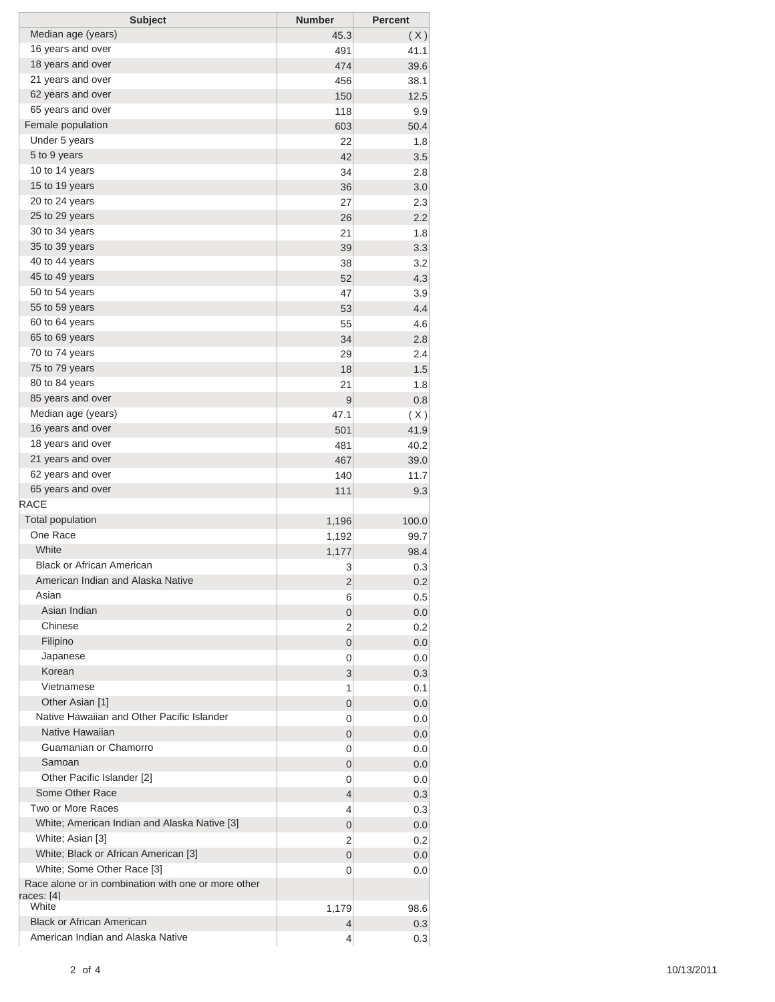| <b>Subject</b>                                                    | <b>Number</b> | <b>Percent</b> |
|-------------------------------------------------------------------|---------------|----------------|
| Median age (years)                                                | 45.3          | (X)            |
| 16 years and over                                                 | 491           | 41.1           |
| 18 years and over                                                 | 474           | 39.6           |
| 21 years and over                                                 | 456           | 38.1           |
| 62 years and over                                                 | 150           | 12.5           |
| 65 years and over                                                 | 118           | 9.9            |
| Female population                                                 | 603           | 50.4           |
| Under 5 years                                                     | 22            | 1.8            |
| 5 to 9 years                                                      | 42            | 3.5            |
| 10 to 14 years                                                    | 34            | 2.8            |
| 15 to 19 years                                                    | 36            | 3.0            |
| 20 to 24 years                                                    | 27            | 2.3            |
| 25 to 29 years                                                    | 26            | 2.2            |
| 30 to 34 years                                                    | 21            | 1.8            |
| 35 to 39 years                                                    | 39            | 3.3            |
| 40 to 44 years                                                    | 38            | 3.2            |
| 45 to 49 years                                                    | 52            | 4.3            |
| 50 to 54 years                                                    | 47            | 3.9            |
| 55 to 59 years                                                    | 53            | 4.4            |
| 60 to 64 years                                                    | 55            | 4.6            |
| 65 to 69 years                                                    | 34            | 2.8            |
| 70 to 74 years                                                    | 29            | 2.4            |
| 75 to 79 years                                                    | 18            | 1.5            |
| 80 to 84 years                                                    | 21            | 1.8            |
| 85 years and over                                                 | 9             | 0.8            |
| Median age (years)                                                | 47.1          | (X)            |
| 16 years and over                                                 | 501           | 41.9           |
| 18 years and over                                                 | 481           | 40.2           |
| 21 years and over                                                 | 467           | 39.0           |
| 62 years and over                                                 | 140           | 11.7           |
| 65 years and over                                                 | 111           | 9.3            |
| <b>RACE</b>                                                       |               |                |
| <b>Total population</b>                                           | 1,196         | 100.0          |
| One Race                                                          | 1,192         | 99.7           |
| White                                                             | 1,177         | 98.4           |
| <b>Black or African American</b>                                  | 3             | 0.3            |
| American Indian and Alaska Native                                 | 2             | 0.2            |
| Asian                                                             | 6             | 0.5            |
| Asian Indian                                                      | 0             | 0.0            |
| Chinese                                                           | 2             | 0.2            |
| Filipino                                                          | 0             | 0.0            |
| Japanese                                                          | 0             | 0.0            |
| Korean                                                            | 3             | 0.3            |
| Vietnamese                                                        | 1             | 0.1            |
| Other Asian [1]                                                   | 0             | 0.0            |
| Native Hawaiian and Other Pacific Islander                        | 0             | 0.0            |
| Native Hawaiian                                                   | 0             | 0.0            |
| Guamanian or Chamorro                                             | 0             | 0.0            |
| Samoan                                                            | 0             | 0.0            |
| Other Pacific Islander [2]                                        | 0             | 0.0            |
| Some Other Race                                                   | 4             | 0.3            |
| Two or More Races                                                 | 4             | 0.3            |
| White; American Indian and Alaska Native [3]                      | 0             | 0.0            |
| White; Asian [3]                                                  | 2             | 0.2            |
| White; Black or African American [3]                              | 0             | 0.0            |
| White; Some Other Race [3]                                        | 0             | 0.0            |
| Race alone or in combination with one or more other<br>races: [4] |               |                |
| White                                                             | 1,179         | 98.6           |
| <b>Black or African American</b>                                  | 4             | 0.3            |
| American Indian and Alaska Native                                 | 4             | 0.3            |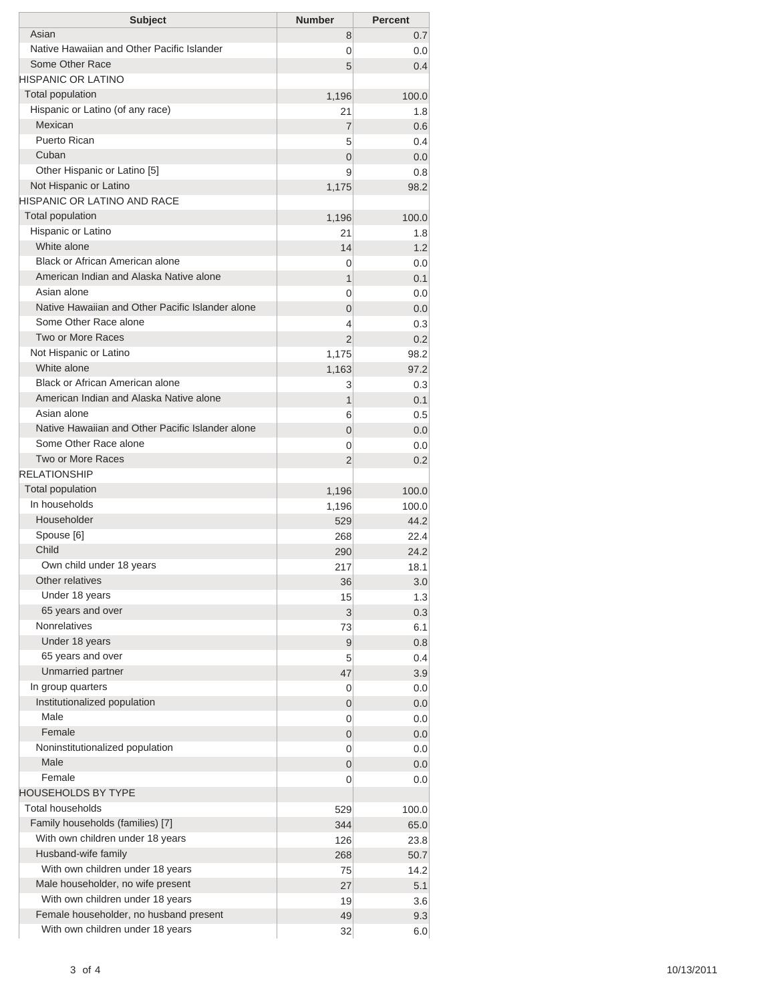| <b>Subject</b>                                               | <b>Number</b>    | <b>Percent</b> |
|--------------------------------------------------------------|------------------|----------------|
| Asian                                                        | 8                | 0.7            |
| Native Hawaiian and Other Pacific Islander                   | 0                | 0.0            |
| Some Other Race                                              | 5                | 0.4            |
| HISPANIC OR LATINO                                           |                  |                |
| <b>Total population</b>                                      | 1,196            | 100.0          |
| Hispanic or Latino (of any race)                             | 21               | 1.8            |
| Mexican                                                      | 7                | 0.6            |
| Puerto Rican                                                 | 5                | 0.4            |
| Cuban                                                        | $\overline{0}$   | 0.0            |
| Other Hispanic or Latino [5]                                 | 9                | 0.8            |
| Not Hispanic or Latino<br><b>HISPANIC OR LATINO AND RACE</b> | 1,175            | 98.2           |
| <b>Total population</b>                                      |                  |                |
| Hispanic or Latino                                           | 1,196<br>21      | 100.0<br>1.8   |
| White alone                                                  | 14               | 1.2            |
| Black or African American alone                              | 0                | 0.0            |
| American Indian and Alaska Native alone                      | 1                | 0.1            |
| Asian alone                                                  | 0                | 0.0            |
| Native Hawaiian and Other Pacific Islander alone             | $\overline{0}$   | 0.0            |
| Some Other Race alone                                        | 4                | 0.3            |
| Two or More Races                                            | $\overline{2}$   | 0.2            |
| Not Hispanic or Latino                                       | 1,175            | 98.2           |
| White alone                                                  | 1,163            | 97.2           |
| Black or African American alone                              | 3                | 0.3            |
| American Indian and Alaska Native alone                      | 1                | 0.1            |
| Asian alone                                                  | 6                | 0.5            |
| Native Hawaiian and Other Pacific Islander alone             | $\overline{0}$   | 0.0            |
| Some Other Race alone                                        | 0                | 0.0            |
| Two or More Races                                            | $\overline{2}$   | 0.2            |
| <b>RELATIONSHIP</b>                                          |                  |                |
| Total population                                             | 1,196            | 100.0          |
| In households                                                | 1,196            | 100.0          |
| Householder                                                  | 529              | 44.2           |
| Spouse [6]                                                   | 268              | 22.4           |
| Child                                                        | 290              | 24.2           |
| Own child under 18 years                                     | 217              | 18.1           |
| Other relatives                                              | 36               | 3.0            |
| Under 18 years                                               | 15               | 1.3            |
| 65 years and over                                            | 3                | 0.3            |
| <b>Nonrelatives</b>                                          | 73               | 6.1            |
| Under 18 years                                               | $\boldsymbol{9}$ | 0.8            |
| 65 years and over                                            | 5                | 0.4            |
| Unmarried partner                                            | 47               | 3.9            |
| In group quarters                                            | 0                | 0.0            |
| Institutionalized population                                 | 0                | 0.0            |
| Male                                                         | 0                | 0.0            |
| Female                                                       | 0                | 0.0            |
| Noninstitutionalized population                              | 0                | 0.0            |
| Male                                                         | 0                | 0.0            |
| Female                                                       | 0                | 0.0            |
| <b>HOUSEHOLDS BY TYPE</b>                                    |                  |                |
| <b>Total households</b>                                      | 529              | 100.0          |
| Family households (families) [7]                             | 344              | 65.0           |
| With own children under 18 years                             | 126              | 23.8           |
| Husband-wife family                                          | 268              | 50.7           |
| With own children under 18 years                             | 75               | 14.2           |
| Male householder, no wife present                            | 27               | 5.1            |
| With own children under 18 years                             | 19               | 3.6            |
| Female householder, no husband present                       | 49               | 9.3            |
| With own children under 18 years                             | 32               | 6.0            |